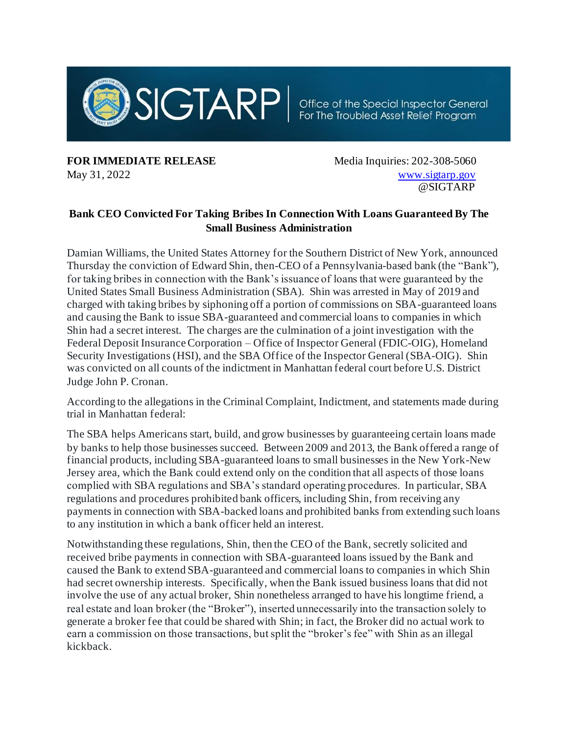

**FOR IMMEDIATE RELEASE** Media Inquiries: 202-308-5060

May 31, 2022 Www.sigtarp.gov @SIGTARP

## **Bank CEO Convicted For Taking Bribes In Connection With Loans Guaranteed By The Small Business Administration**

Damian Williams, the United States Attorney for the Southern District of New York, announced Thursday the conviction of Edward Shin, then-CEO of a Pennsylvania-based bank (the "Bank"), for taking bribes in connection with the Bank's issuance of loans that were guaranteed by the United States Small Business Administration (SBA). Shin was arrested in May of 2019 and charged with taking bribes by siphoning off a portion of commissions on SBA-guaranteed loans and causing the Bank to issue SBA-guaranteed and commercial loans to companies in which Shin had a secret interest. The charges are the culmination of a joint investigation with the Federal Deposit Insurance Corporation – Office of Inspector General (FDIC-OIG), Homeland Security Investigations (HSI), and the SBA Office of the Inspector General (SBA-OIG). Shin was convicted on all counts of the indictment in Manhattan federal court before U.S. District Judge John P. Cronan.

According to the allegations in the Criminal Complaint, Indictment, and statements made during trial in Manhattan federal:

The SBA helps Americans start, build, and grow businesses by guaranteeing certain loans made by banks to help those businesses succeed. Between 2009 and 2013, the Bank offered a range of financial products, including SBA-guaranteed loans to small businesses in the New York-New Jersey area, which the Bank could extend only on the condition that all aspects of those loans complied with SBA regulations and SBA's standard operating procedures. In particular, SBA regulations and procedures prohibited bank officers, including Shin, from receiving any payments in connection with SBA-backed loans and prohibited banks from extending such loans to any institution in which a bank officer held an interest.

Notwithstanding these regulations, Shin, then the CEO of the Bank, secretly solicited and received bribe payments in connection with SBA-guaranteed loans issued by the Bank and caused the Bank to extend SBA-guaranteed and commercial loans to companies in which Shin had secret ownership interests. Specifically, when the Bank issued business loans that did not involve the use of any actual broker, Shin nonetheless arranged to have his longtime friend, a real estate and loan broker (the "Broker"), inserted unnecessarily into the transaction solely to generate a broker fee that could be shared with Shin; in fact, the Broker did no actual work to earn a commission on those transactions, but split the "broker's fee" with Shin as an illegal kickback.